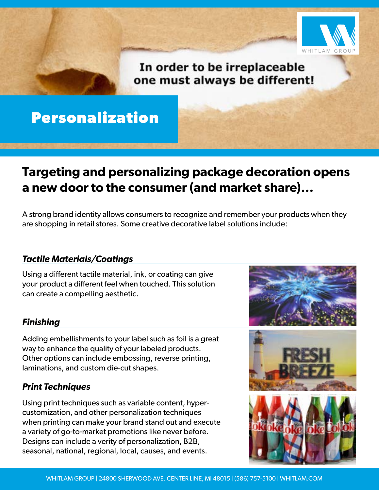

## In order to be irreplaceable one must always be different!

# **Personalization**

## **Targeting and personalizing package decoration opens a new door to the consumer (and market share)...**

A strong brand identity allows consumers to recognize and remember your products when they are shopping in retail stores. Some creative decorative label solutions include:

#### *Tactile Materials/Coatings*

Using a different tactile material, ink, or coating can give your product a different feel when touched. This solution can create a compelling aesthetic.

#### *Finishing*

Adding embellishments to your label such as foil is a great way to enhance the quality of your labeled products. Other options can include embossing, reverse printing, laminations, and custom die-cut shapes.

#### *Print Techniques*

Using print techniques such as variable content, hypercustomization, and other personalization techniques when printing can make your brand stand out and execute a variety of go-to-market promotions like never before. Designs can include a verity of personalization, B2B, seasonal, national, regional, local, causes, and events.